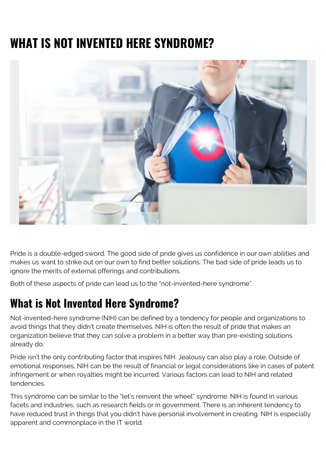## **WHAT IS NOT INVENTED HERE SYNDROME?**



Pride is a double-edged sword. The good side of pride gives us confidence in our own abilities and makes us want to strike out on our own to find better solutions. The bad side of pride leads us to ignore the merits of external offerings and contributions.

Both of these aspects of pride can lead us to the "not-invented-here syndrome".

## **What is Not Invented Here Syndrome?**

Not-invented-here syndrome (NIH) can be defined by a tendency for people and organizations to avoid things that they didn't create themselves. NIH is often the result of pride that makes an organization believe that they can solve a problem in a better way than pre-existing solutions already do.

Pride isn't the only contributing factor that inspires NIH. Jealousy can also play a role. Outside of emotional responses, NIH can be the result of financial or legal considerations like in cases of patent infringement or when royalties might be incurred. Various factors can lead to NIH and related tendencies.

This syndrome can be similar to the "let's reinvent the wheel" syndrome. NIH is found in various facets and industries, such as research fields or in government. There is an inherent tendency to have reduced trust in things that you didn't have personal involvement in creating. NIH is especially apparent and commonplace in the IT world.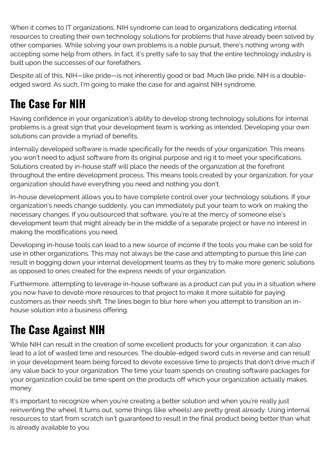When it comes to IT organizations, NIH syndrome can lead to organizations dedicating internal resources to creating their own technology solutions for problems that have already been solved by other companies. While solving your own problems is a noble pursuit, there's nothing wrong with accepting some help from others. In fact, it's pretty safe to say that the entire technology industry is built upon the successes of our forefathers.

Despite all of this, NIH—like pride—is not inherently good or bad. Much like pride, NIH is a doubleedged sword. As such, I'm going to make the case for and against NIH syndrome.

## **The Case For NIH**

Having confidence in your organization's ability to develop strong technology solutions for internal problems is a great sign that your development team is working as intended. Developing your own solutions can provide a myriad of benefits.

Internally developed software is made specifically for the needs of your organization. This means you won't need to adjust software from its original purpose and rig it to meet your specifications. Solutions created by in-house staff will place the needs of the organization at the forefront throughout the entire development process. This means tools created by your organization, for your organization should have everything you need and nothing you don't.

In-house development allows you to have complete control over your technology solutions. If your organization's needs change suddenly, you can immediately put your team to work on making the necessary changes. If you outsourced that software, you're at the mercy of someone else's development team that might already be in the middle of a separate project or have no interest in making the modifications you need.

Developing in-house tools can lead to a new source of income if the tools you make can be sold for use in other organizations. This may not always be the case and attempting to pursue this line can result in bogging down your internal development teams as they try to make more generic solutions as opposed to ones created for the express needs of your organization.

Furthermore, attempting to leverage in-house software as a product can put you in a situation where you now have to devote more resources to that project to make it more suitable for paying customers as their needs shift. The lines begin to blur here when you attempt to transition an inhouse solution into a business offering.

## **The Case Against NIH**

While NIH can result in the creation of some excellent products for your organization, it can also lead to a lot of wasted time and resources. The double-edged sword cuts in reverse and can result in your development team being forced to devote excessive time to projects that don't drive much if any value back to your organization. The time your team spends on creating software packages for your organization could be time spent on the products off which your organization actually makes money.

It's important to recognize when you're creating a better solution and when you're really just reinventing the wheel. It turns out, some things (like wheels) are pretty great already. Using internal resources to start from scratch isn't guaranteed to result in the final product being better than what is already available to you.